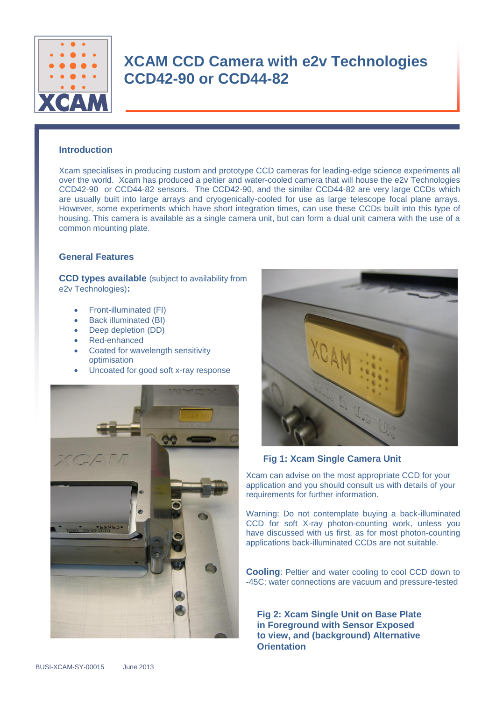

#### **Introduction**

Xcam specialises in producing custom and prototype CCD cameras for leading-edge science experiments all over the world. Xcam has produced a peltier and water-cooled camera that will house the e2v Technologies CCD42-90 or CCD44-82 sensors. The CCD42-90, and the similar CCD44-82 are very large CCDs which are usually built into large arrays and cryogenically-cooled for use as large telescope focal plane arrays. However, some experiments which have short integration times, can use these CCDs built into this type of housing. This camera is available as a single camera unit, but can form a dual unit camera with the use of a common mounting plate.

#### **General Features**

**CCD types available** (subject to availability from e2v Technologies)**:** 

- Front-illuminated (FI)
- Back illuminated (BI)
- Deep depletion (DD)
- Red-enhanced
- Coated for wavelength sensitivity optimisation
- Uncoated for good soft x-ray response





#### **Fig 1: Xcam Single Camera Unit**

Xcam can advise on the most appropriate CCD for your application and you should consult us with details of your requirements for further information.

Warning: Do not contemplate buying a back-illuminated CCD for soft X-ray photon-counting work, unless you have discussed with us first, as for most photon-counting applications back-illuminated CCDs are not suitable.

**Cooling:** Peltier and water cooling to cool CCD down to -45C; water connections are vacuum and pressure-tested

**Fig 2: Xcam Single Unit on Base Plate in Foreground with Sensor Exposed to view, and (background) Alternative Orientation**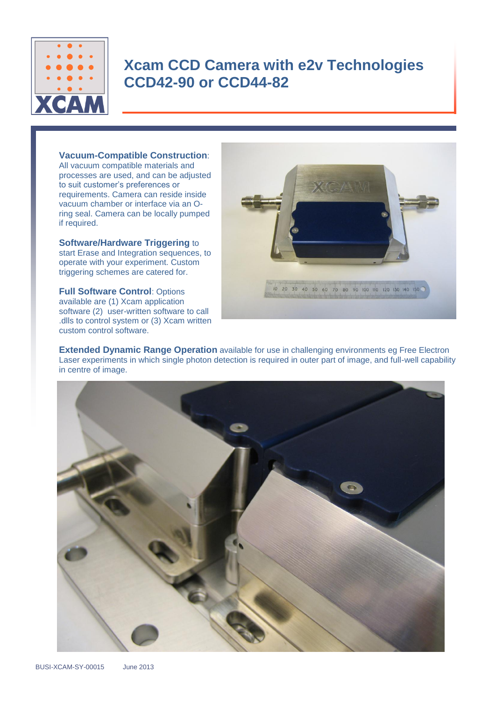

#### **Vacuum-Compatible Construction**:

All vacuum compatible materials and processes are used, and can be adjusted to suit customer's preferences or requirements. Camera can reside inside vacuum chamber or interface via an Oring seal. Camera can be locally pumped if required.

**Software/Hardware Triggering** to start Erase and Integration sequences, to operate with your experiment. Custom triggering schemes are catered for.

**Full Software Control**: Options available are (1) Xcam application software (2) user-written software to call .dlls to control system or (3) Xcam written custom control software.



**Extended Dynamic Range Operation** available for use in challenging environments eg Free Electron Laser experiments in which single photon detection is required in outer part of image, and full-well capability in centre of image.

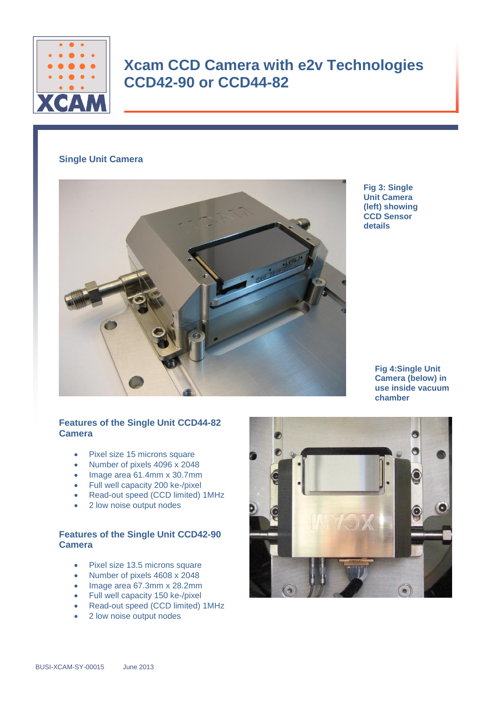

### **Single Unit Camera**



**Fig 3: Single Unit Camera (left) showing CCD Sensor details**

> **Fig 4:Single Unit Camera (below) in use inside vacuum chamber**

### **Features of the Single Unit CCD44-82 Camera**

- Pixel size 15 microns square
- Number of pixels 4096 x 2048
- Image area 61.4mm x 30.7mm
- Full well capacity 200 ke-/pixel
- Read-out speed (CCD limited) 1MHz
- 2 low noise output nodes

### **Features of the Single Unit CCD42-90 Camera**

- Pixel size 13.5 microns square
- Number of pixels 4608 x 2048
- Image area 67.3mm x 28.2mm
- Full well capacity 150 ke-/pixel
- Read-out speed (CCD limited) 1MHz
- 2 low noise output nodes

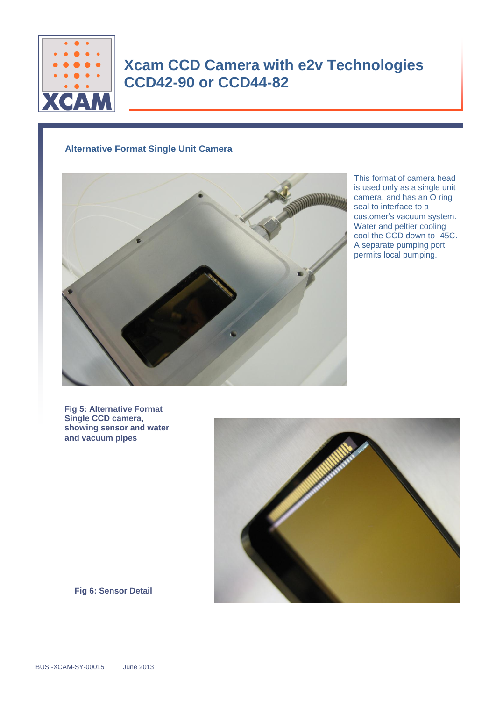

### **Alternative Format Single Unit Camera**



This format of camera head is used only as a single unit camera, and has an O ring seal to interface to a customer's vacuum system. Water and peltier cooling cool the CCD down to -45C. A separate pumping port permits local pumping.

**Fig 5: Alternative Format Single CCD camera, showing sensor and water and vacuum pipes**



**Fig 6: Sensor Detail**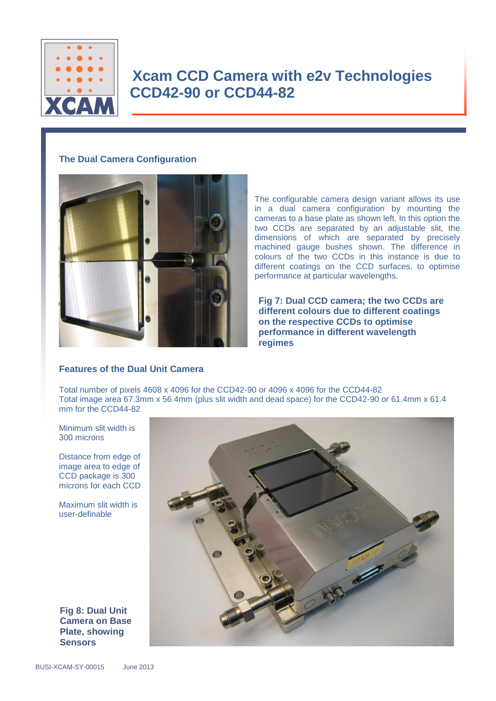

### **The Dual Camera Configuration**



The configurable camera design variant allows its use in a dual camera configuration by mounting the cameras to a base plate as shown left. In this option the two CCDs are separated by an adjustable slit, the dimensions of which are separated by precisely machined gauge bushes shown. The difference in colours of the two CCDs in this instance is due to different coatings on the CCD surfaces, to optimise performance at particular wavelengths.

**Fig 7: Dual CCD camera; the two CCDs are different colours due to different coatings on the respective CCDs to optimise performance in different wavelength regimes**

### **Features of the Dual Unit Camera**

Total number of pixels 4608 x 4096 for the CCD42-90 or 4096 x 4096 for the CCD44-82 Total image area 67.3mm x 56.4mm (plus slit width and dead space) for the CCD42-90 or 61.4mm x 61.4 mm for the CCD44-82

Minimum slit width is 300 microns

Distance from edge of image area to edge of CCD package is 300 microns for each CCD

Maximum slit width is user-definable

**Fig 8: Dual Unit Camera on Base Plate, showing Sensors**

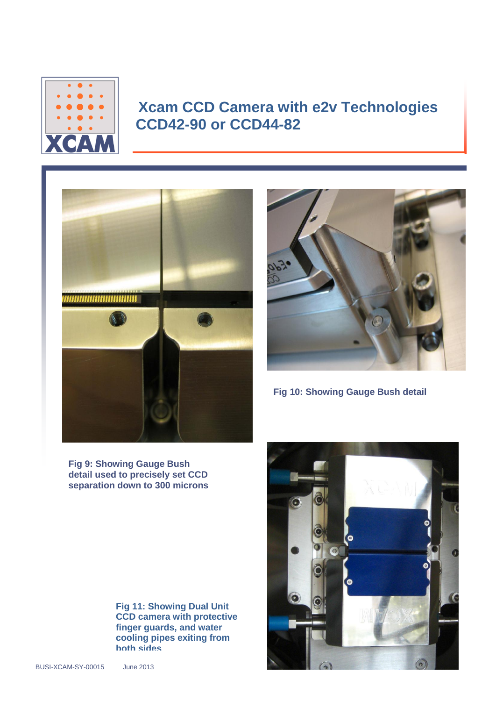



**Fig 10: Showing Gauge Bush detail**

**Fig 9: Showing Gauge Bush detail used to precisely set CCD separation down to 300 microns**

> **Fig 11: Showing Dual Unit CCD camera with protective finger guards, and water cooling pipes exiting from both sides**

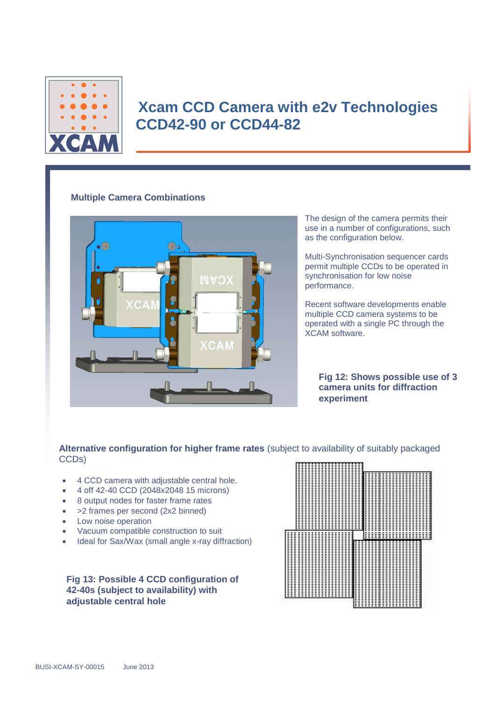

#### **Multiple Camera Combinations**



The design of the camera permits their use in a number of configurations, such as the configuration below.

Multi-Synchronisation sequencer cards permit multiple CCDs to be operated in synchronisation for low noise performance.

Recent software developments enable multiple CCD camera systems to be operated with a single PC through the XCAM software.

**Fig 12: Shows possible use of 3 camera units for diffraction experiment**

**Alternative configuration for higher frame rates** (subject to availability of suitably packaged CCDs)

- 4 CCD camera with adjustable central hole.
- 4 off 42-40 CCD (2048x2048 15 microns)
- 8 output nodes for faster frame rates
- > 2 frames per second (2x2 binned)
- Low noise operation
- Vacuum compatible construction to suit
- Ideal for Sax/Wax (small angle x-ray diffraction)

**Fig 13: Possible 4 CCD configuration of 42-40s (subject to availability) with adjustable central hole**